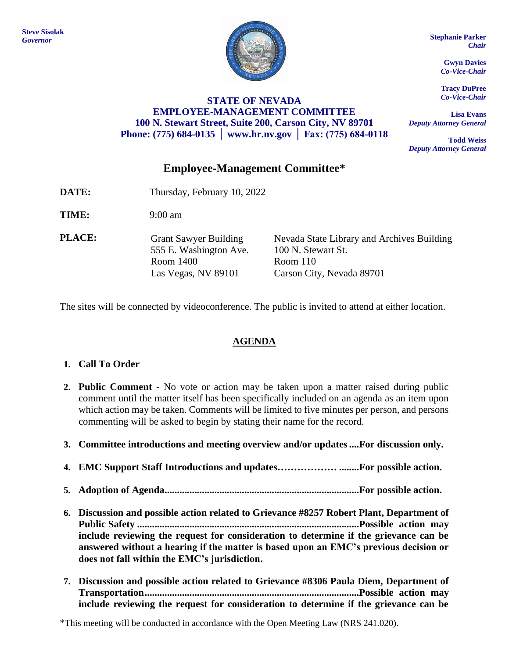

## **STATE OF NEVADA EMPLOYEE-MANAGEMENT COMMITTEE 100 N. Stewart Street, Suite 200, Carson City, NV 89701 Phone: (775) 684-0135 │ [www.hr.nv.gov](http://www.hr.nv.gov/) │ Fax: (775) 684-0118**

*Chair*

**Gwyn Davies** *Co-Vice-Chair*

**Tracy DuPree** *Co-Vice-Chair*

**Lisa Evans** *Deputy Attorney General*

**Todd Weiss** *Deputy Attorney General*

# **Employee-Management Committee\***

- **DATE:** Thursday, February 10, 2022
- **TIME:** 9:00 am
- **PLACE:** Grant Sawyer Building 555 E. Washington Ave. Room 1400 Las Vegas, NV 89101

Nevada State Library and Archives Building 100 N. Stewart St. Room 110 Carson City, Nevada 89701

The sites will be connected by videoconference. The public is invited to attend at either location.

## **AGENDA**

### **1. Call To Order**

- **2. Public Comment -** No vote or action may be taken upon a matter raised during public comment until the matter itself has been specifically included on an agenda as an item upon which action may be taken. Comments will be limited to five minutes per person, and persons commenting will be asked to begin by stating their name for the record.
- **3. Committee introductions and meeting overview and/or updates....For discussion only.**
- **4. EMC Support Staff Introductions and updates……………… ........For possible action.**
- **5. Adoption of Agenda..............................................................................For possible action.**
- **6. Discussion and possible action related to Grievance #8257 Robert Plant, Department of Public Safety .........................................................................................Possible action may include reviewing the request for consideration to determine if the grievance can be answered without a hearing if the matter is based upon an EMC's previous decision or does not fall within the EMC's jurisdiction.**
- **7. Discussion and possible action related to Grievance #8306 Paula Diem, Department of Transportation......................................................................................Possible action may include reviewing the request for consideration to determine if the grievance can be**

\*This meeting will be conducted in accordance with the Open Meeting Law (NRS 241.020).